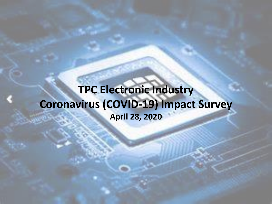# **TPC Electronic Industry Coronavirus (COVID-19) Impact Survey April 28, 2020**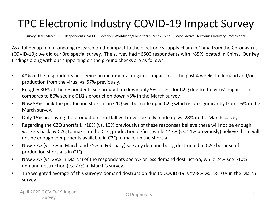# TPC Electronic Industry COVID-19 Impact Survey

Survey Date: March 5-8 Respondents: ~4000 Location: Worldwide/China focus (~85% China) Who: Active Electronics Industry Professionals

As a follow up to our ongoing research on the impact to the electronics supply chain in China from the Coronavirus (COVID-19); we did our 3rd special survey. The survey had ~6500 respondents with ~85% located in China. Our key findings along with our supporting on the ground checks are as follows:

- 48% of the respondents are seeing an incremental negative impact over the past 4 weeks to demand and/or production from the virus; vs. 57% previously.
- Roughly 80% of the respondents see production down only 5% or less for C2Q due to the virus' impact. This compares to 80% seeing C1Q's production down >5% in the March survey.
- Now 53% think the production shortfall in C1Q will be made up in C2Q which is up significantly from 16% in the March survey.
- Only 15% are saying the production shortfall will never be fully made up vs. 28% in the March survey.
- Regarding the C2Q shortfall, ~10% (vs. 19% previously) of these responses believe there will not be enough workers back by C2Q to make up the C1Q production deficit; while ~47% (vs. 51% previously) believe there will not be enough components available in C2Q to make up the shortfall.
- Now 27% (vs. 7% in March and 25% in February) see any demand being destructed in C2Q because of production shortfalls in C1Q.
- Now 37% (vs. 28% in March) of the respondents see 5% or less demand destruction; while 24% see >10% demand destruction (vs. 27% in March's survey).
- The weighted average of this survey's demand destruction due to COVID-19 is ~7-8% vs. ~8-10% in the March survey.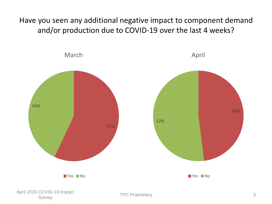Have you seen any additional negative impact to component demand and/or production due to COVID-19 over the last 4 weeks?

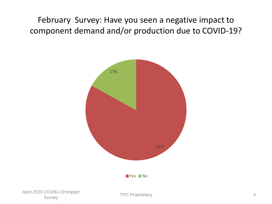February Survey: Have you seen a negative impact to component demand and/or production due to COVID-19?

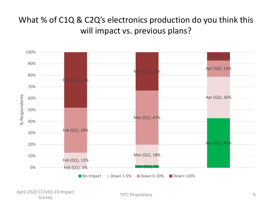### What % of C1Q & C2Q's electronics production do you think this will impact vs. previous plans?

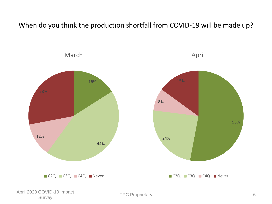When do you think the production shortfall from COVID-19 will be made up?

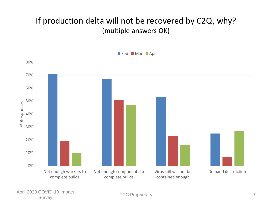#### If production delta will not be recovered by C2Q, why? (multiple answers OK)